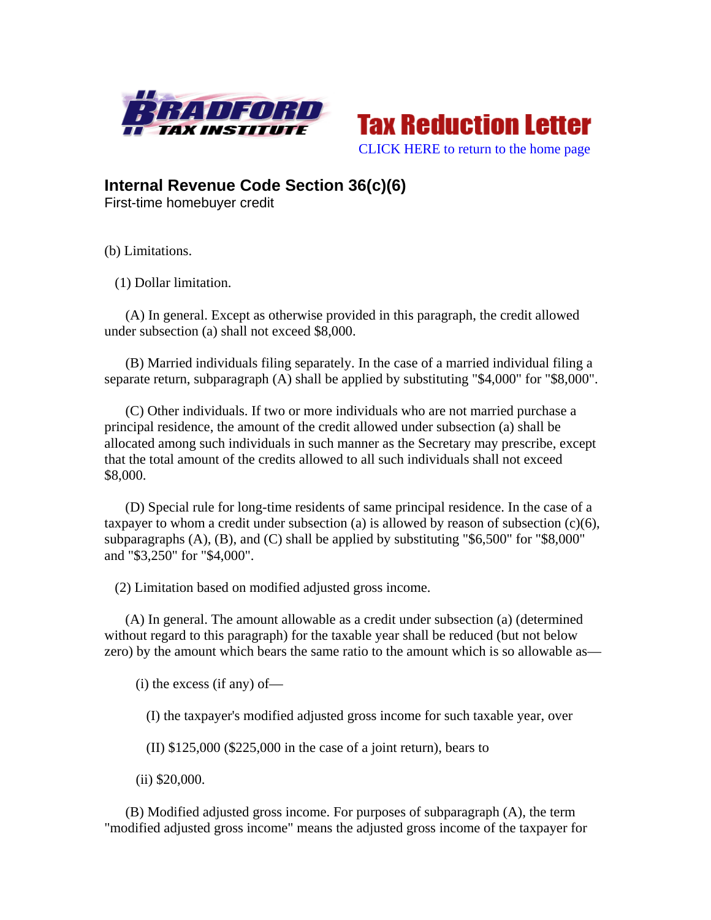



**Internal Revenue Code Section 36(c)(6)** 

First-time homebuyer credit

(b) Limitations.

(1) Dollar limitation.

 (A) In general. Except as otherwise provided in this paragraph, the credit allowed under subsection (a) shall not exceed \$8,000.

 (B) Married individuals filing separately. In the case of a married individual filing a separate return, subparagraph (A) shall be applied by substituting "\$4,000" for "\$8,000".

 (C) Other individuals. If two or more individuals who are not married purchase a principal residence, the amount of the credit allowed under subsection (a) shall be allocated among such individuals in such manner as the Secretary may prescribe, except that the total amount of the credits allowed to all such individuals shall not exceed \$8,000.

 (D) Special rule for long-time residents of same principal residence. In the case of a taxpayer to whom a credit under subsection (a) is allowed by reason of subsection  $(c)(6)$ , subparagraphs  $(A)$ ,  $(B)$ , and  $(C)$  shall be applied by substituting "\$6,500" for "\$8,000" and "\$3,250" for "\$4,000".

(2) Limitation based on modified adjusted gross income.

 (A) In general. The amount allowable as a credit under subsection (a) (determined without regard to this paragraph) for the taxable year shall be reduced (but not below zero) by the amount which bears the same ratio to the amount which is so allowable as—

(i) the excess (if any) of—

(I) the taxpayer's modified adjusted gross income for such taxable year, over

(II) \$125,000 (\$225,000 in the case of a joint return), bears to

(ii) \$20,000.

 (B) Modified adjusted gross income. For purposes of subparagraph (A), the term "modified adjusted gross income" means the adjusted gross income of the taxpayer for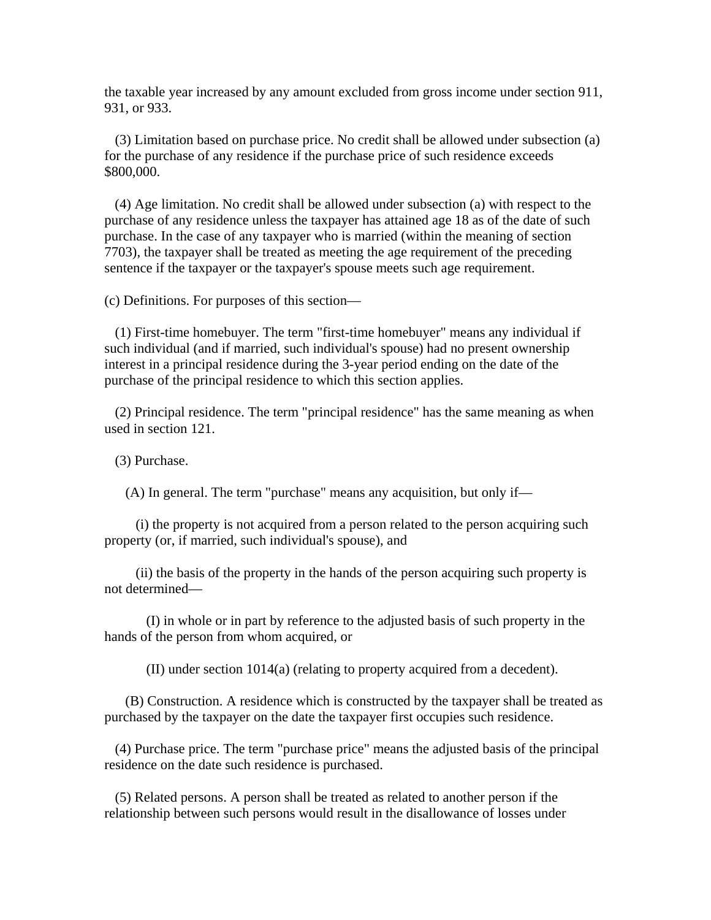the taxable year increased by any amount excluded from gross income under section 911, 931, or 933.

 (3) Limitation based on purchase price. No credit shall be allowed under subsection (a) for the purchase of any residence if the purchase price of such residence exceeds \$800,000.

 (4) Age limitation. No credit shall be allowed under subsection (a) with respect to the purchase of any residence unless the taxpayer has attained age 18 as of the date of such purchase. In the case of any taxpayer who is married (within the meaning of section 7703), the taxpayer shall be treated as meeting the age requirement of the preceding sentence if the taxpayer or the taxpayer's spouse meets such age requirement.

(c) Definitions. For purposes of this section—

 (1) First-time homebuyer. The term "first-time homebuyer" means any individual if such individual (and if married, such individual's spouse) had no present ownership interest in a principal residence during the 3-year period ending on the date of the purchase of the principal residence to which this section applies.

 (2) Principal residence. The term "principal residence" has the same meaning as when used in section 121.

(3) Purchase.

(A) In general. The term "purchase" means any acquisition, but only if—

 (i) the property is not acquired from a person related to the person acquiring such property (or, if married, such individual's spouse), and

 (ii) the basis of the property in the hands of the person acquiring such property is not determined—

 (I) in whole or in part by reference to the adjusted basis of such property in the hands of the person from whom acquired, or

(II) under section 1014(a) (relating to property acquired from a decedent).

 (B) Construction. A residence which is constructed by the taxpayer shall be treated as purchased by the taxpayer on the date the taxpayer first occupies such residence.

 (4) Purchase price. The term "purchase price" means the adjusted basis of the principal residence on the date such residence is purchased.

 (5) Related persons. A person shall be treated as related to another person if the relationship between such persons would result in the disallowance of losses under